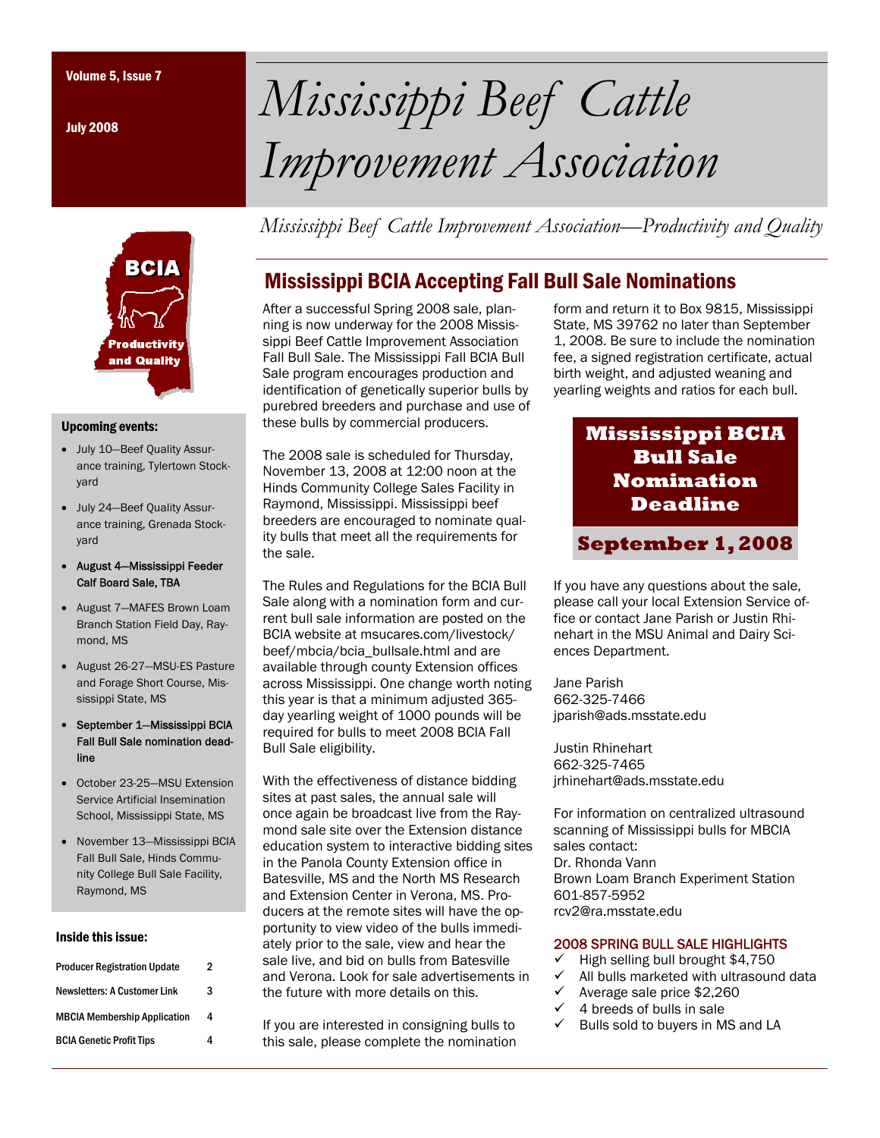July 2008



#### Upcoming events:

- July 10—Beef Quality Assurance training, Tylertown Stockyard
- July 24—Beef Quality Assurance training, Grenada Stockyard
- August 4—Mississippi Feeder Calf Board Sale, TBA
- August 7—MAFES Brown Loam Branch Station Field Day, Raymond, MS
- August 26-27—MSU-ES Pasture and Forage Short Course, Mississippi State, MS
- September 1—Mississippi BCIA Fall Bull Sale nomination deadline
- October 23-25—MSU Extension Service Artificial Insemination School, Mississippi State, MS
- November 13—Mississippi BCIA Fall Bull Sale, Hinds Community College Bull Sale Facility, Raymond, MS

#### Inside this issue:

| <b>Producer Registration Update</b> | 2 |
|-------------------------------------|---|
| <b>Newsletters: A Customer Link</b> | 3 |
| <b>MBCIA Membership Application</b> | 4 |
| <b>BCIA Genetic Profit Tips</b>     |   |

# Volume 5, Issue 7 *Mississippi Beef Cattle Improvement Association*

*Mississippi Beef Cattle Improvement Association—Productivity and Quality* 

## Mississippi BCIA Accepting Fall Bull Sale Nominations

After a successful Spring 2008 sale, planning is now underway for the 2008 Mississippi Beef Cattle Improvement Association Fall Bull Sale. The Mississippi Fall BCIA Bull Sale program encourages production and identification of genetically superior bulls by purebred breeders and purchase and use of these bulls by commercial producers.

The 2008 sale is scheduled for Thursday, November 13, 2008 at 12:00 noon at the Hinds Community College Sales Facility in Raymond, Mississippi. Mississippi beef breeders are encouraged to nominate quality bulls that meet all the requirements for the sale.

The Rules and Regulations for the BCIA Bull Sale along with a nomination form and current bull sale information are posted on the BCIA website at msucares.com/livestock/ beef/mbcia/bcia\_bullsale.html and are available through county Extension offices across Mississippi. One change worth noting this year is that a minimum adjusted 365 day yearling weight of 1000 pounds will be required for bulls to meet 2008 BCIA Fall Bull Sale eligibility.

With the effectiveness of distance bidding sites at past sales, the annual sale will once again be broadcast live from the Raymond sale site over the Extension distance education system to interactive bidding sites in the Panola County Extension office in Batesville, MS and the North MS Research and Extension Center in Verona, MS. Producers at the remote sites will have the opportunity to view video of the bulls immediately prior to the sale, view and hear the sale live, and bid on bulls from Batesville and Verona. Look for sale advertisements in the future with more details on this.

If you are interested in consigning bulls to this sale, please complete the nomination form and return it to Box 9815, Mississippi State, MS 39762 no later than September 1, 2008. Be sure to include the nomination fee, a signed registration certificate, actual birth weight, and adjusted weaning and yearling weights and ratios for each bull.

# **Mississippi BCIA Bull Sale Nomination Deadline**

### **September 1, 2008**

If you have any questions about the sale, please call your local Extension Service office or contact Jane Parish or Justin Rhinehart in the MSU Animal and Dairy Sciences Department.

Jane Parish 662-325-7466 jparish@ads.msstate.edu

Justin Rhinehart 662-325-7465 jrhinehart@ads.msstate.edu

For information on centralized ultrasound scanning of Mississippi bulls for MBCIA sales contact: Dr. Rhonda Vann Brown Loam Branch Experiment Station 601-857-5952 rcv2@ra.msstate.edu

#### 2008 SPRING BULL SALE HIGHLIGHTS

- 9 High selling bull brought \$4,750
- All bulls marketed with ultrasound data
- $\checkmark$  Average sale price \$2,260
- $\checkmark$  4 breeds of bulls in sale
- $\checkmark$  Bulls sold to buyers in MS and LA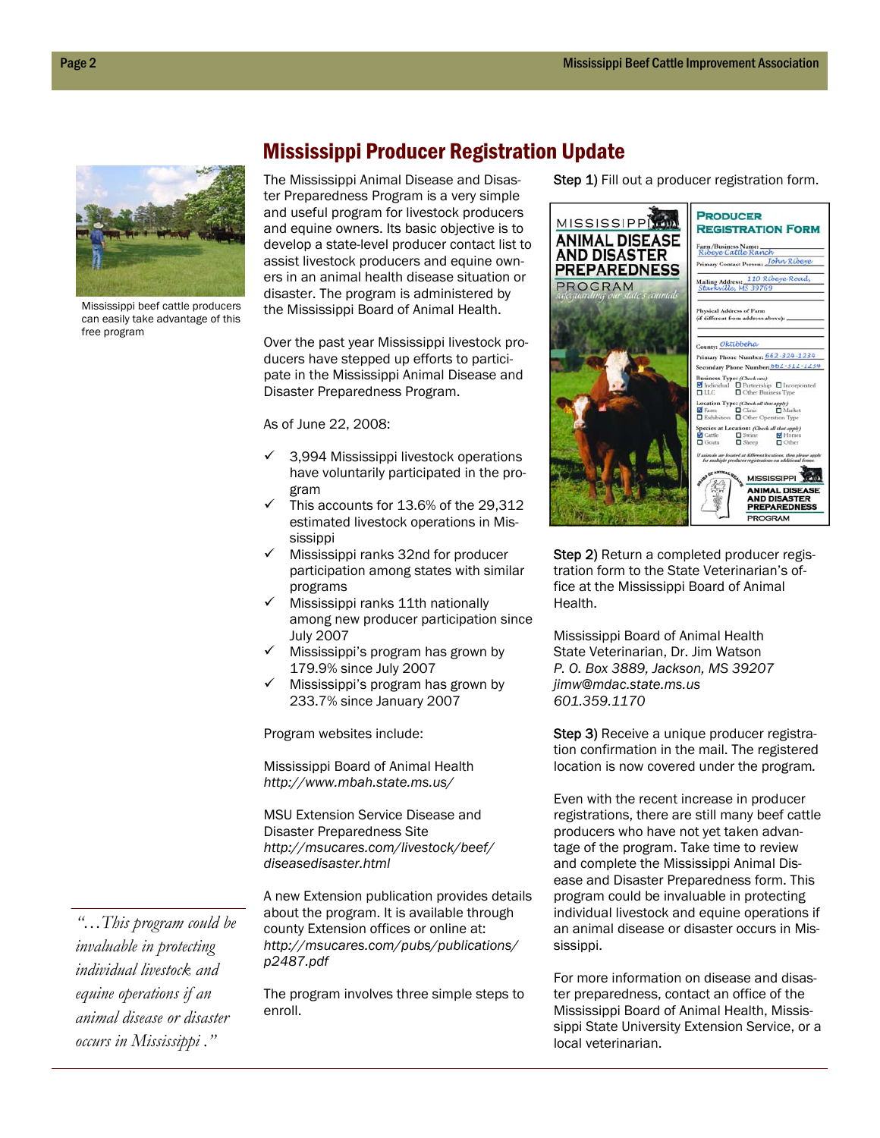

Mississippi beef cattle producers can easily take advantage of this free program

## Mississippi Producer Registration Update

The Mississippi Animal Disease and Disaster Preparedness Program is a very simple and useful program for livestock producers and equine owners. Its basic objective is to develop a state-level producer contact list to assist livestock producers and equine owners in an animal health disease situation or disaster. The program is administered by the Mississippi Board of Animal Health.

Over the past year Mississippi livestock producers have stepped up efforts to participate in the Mississippi Animal Disease and Disaster Preparedness Program.

As of June 22, 2008:

- $\checkmark$  3,994 Mississippi livestock operations have voluntarily participated in the program
- This accounts for 13.6% of the 29,312 estimated livestock operations in Mississippi
- Mississippi ranks 32nd for producer participation among states with similar programs
- Mississippi ranks 11th nationally among new producer participation since July 2007
- Mississippi's program has grown by 179.9% since July 2007
- $\checkmark$  Mississippi's program has grown by 233.7% since January 2007

Program websites include:

Mississippi Board of Animal Health *http://www.mbah.state.ms.us/* 

MSU Extension Service Disease and Disaster Preparedness Site *http://msucares.com/livestock/beef/ diseasedisaster.html* 

A new Extension publication provides details about the program. It is available through county Extension offices or online at: *http://msucares.com/pubs/publications/ p2487.pdf* 

The program involves three simple steps to enroll.

Step 1) Fill out a producer registration form.



Step 2) Return a completed producer registration form to the State Veterinarian's office at the Mississippi Board of Animal Health.

Mississippi Board of Animal Health State Veterinarian, Dr. Jim Watson *P. O. Box 3889, Jackson, MS 39207 jimw@mdac.state.ms.us 601.359.1170* 

Step 3) Receive a unique producer registration confirmation in the mail. The registered location is now covered under the program*.* 

Even with the recent increase in producer registrations, there are still many beef cattle producers who have not yet taken advantage of the program. Take time to review and complete the Mississippi Animal Disease and Disaster Preparedness form. This program could be invaluable in protecting individual livestock and equine operations if an animal disease or disaster occurs in Mississippi.

For more information on disease and disaster preparedness, contact an office of the Mississippi Board of Animal Health, Mississippi State University Extension Service, or a local veterinarian.

*"…This program could be invaluable in protecting individual livestock and equine operations if an animal disease or disaster occurs in Mississippi ."*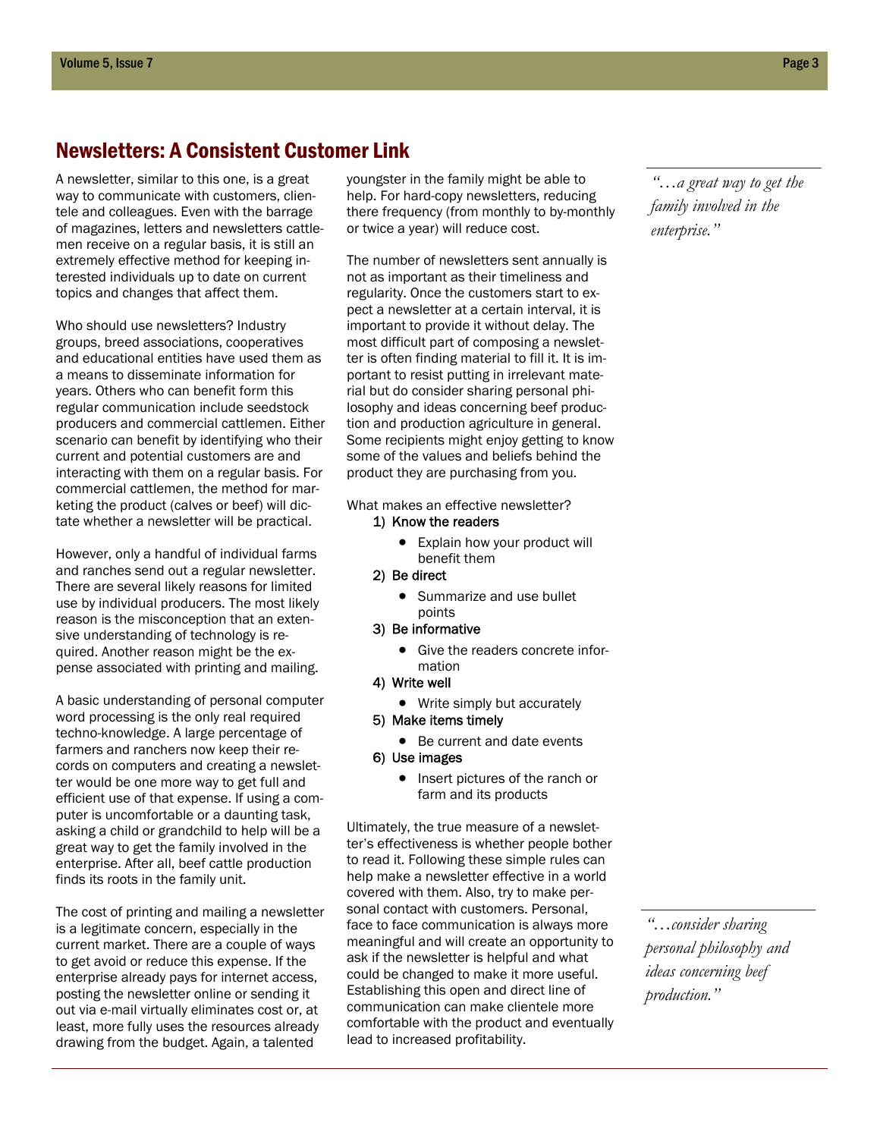## Newsletters: A Consistent Customer Link

A newsletter, similar to this one, is a great way to communicate with customers, clientele and colleagues. Even with the barrage of magazines, letters and newsletters cattlemen receive on a regular basis, it is still an extremely effective method for keeping interested individuals up to date on current topics and changes that affect them.

Who should use newsletters? Industry groups, breed associations, cooperatives and educational entities have used them as a means to disseminate information for years. Others who can benefit form this regular communication include seedstock producers and commercial cattlemen. Either scenario can benefit by identifying who their current and potential customers are and interacting with them on a regular basis. For commercial cattlemen, the method for marketing the product (calves or beef) will dictate whether a newsletter will be practical.

However, only a handful of individual farms and ranches send out a regular newsletter. There are several likely reasons for limited use by individual producers. The most likely reason is the misconception that an extensive understanding of technology is required. Another reason might be the expense associated with printing and mailing.

A basic understanding of personal computer word processing is the only real required techno-knowledge. A large percentage of farmers and ranchers now keep their records on computers and creating a newsletter would be one more way to get full and efficient use of that expense. If using a computer is uncomfortable or a daunting task, asking a child or grandchild to help will be a great way to get the family involved in the enterprise. After all, beef cattle production finds its roots in the family unit.

The cost of printing and mailing a newsletter is a legitimate concern, especially in the current market. There are a couple of ways to get avoid or reduce this expense. If the enterprise already pays for internet access, posting the newsletter online or sending it out via e-mail virtually eliminates cost or, at least, more fully uses the resources already drawing from the budget. Again, a talented

youngster in the family might be able to help. For hard-copy newsletters, reducing there frequency (from monthly to by-monthly or twice a year) will reduce cost.

The number of newsletters sent annually is not as important as their timeliness and regularity. Once the customers start to expect a newsletter at a certain interval, it is important to provide it without delay. The most difficult part of composing a newsletter is often finding material to fill it. It is important to resist putting in irrelevant material but do consider sharing personal philosophy and ideas concerning beef production and production agriculture in general. Some recipients might enjoy getting to know some of the values and beliefs behind the product they are purchasing from you.

What makes an effective newsletter? 1) Know the readers

- Explain how your product will benefit them
- 2) Be direct
	- Summarize and use bullet points
- 3) Be informative
	- Give the readers concrete information
- 4) Write well
	- Write simply but accurately
- 5) Make items timely
	- Be current and date events
- 6) Use images
	- Insert pictures of the ranch or farm and its products

Ultimately, the true measure of a newsletter's effectiveness is whether people bother to read it. Following these simple rules can help make a newsletter effective in a world covered with them. Also, try to make personal contact with customers. Personal, face to face communication is always more meaningful and will create an opportunity to ask if the newsletter is helpful and what could be changed to make it more useful. Establishing this open and direct line of communication can make clientele more comfortable with the product and eventually lead to increased profitability.

*"…a great way to get the family involved in the enterprise."* 

*"…consider sharing personal philosophy and ideas concerning beef production."*